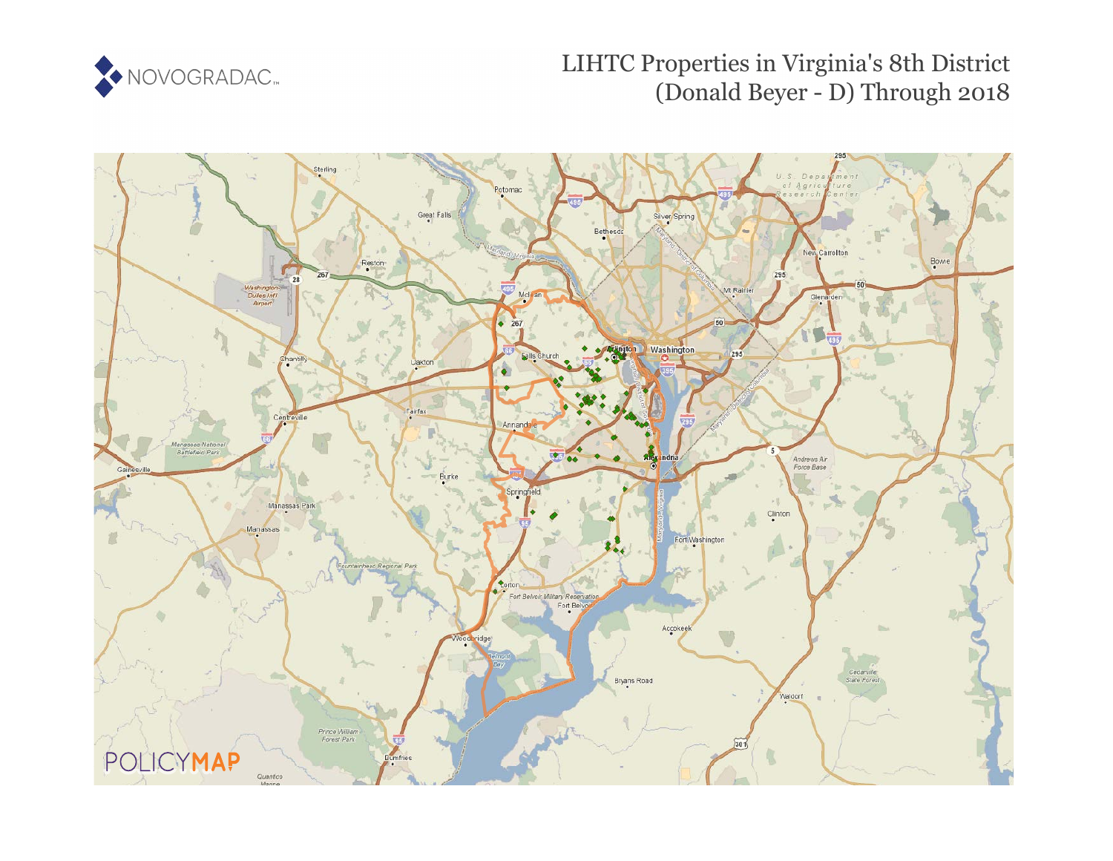

# LIHTC Properties in Virginia's 8th District (Donald Beyer - D) Through 2018

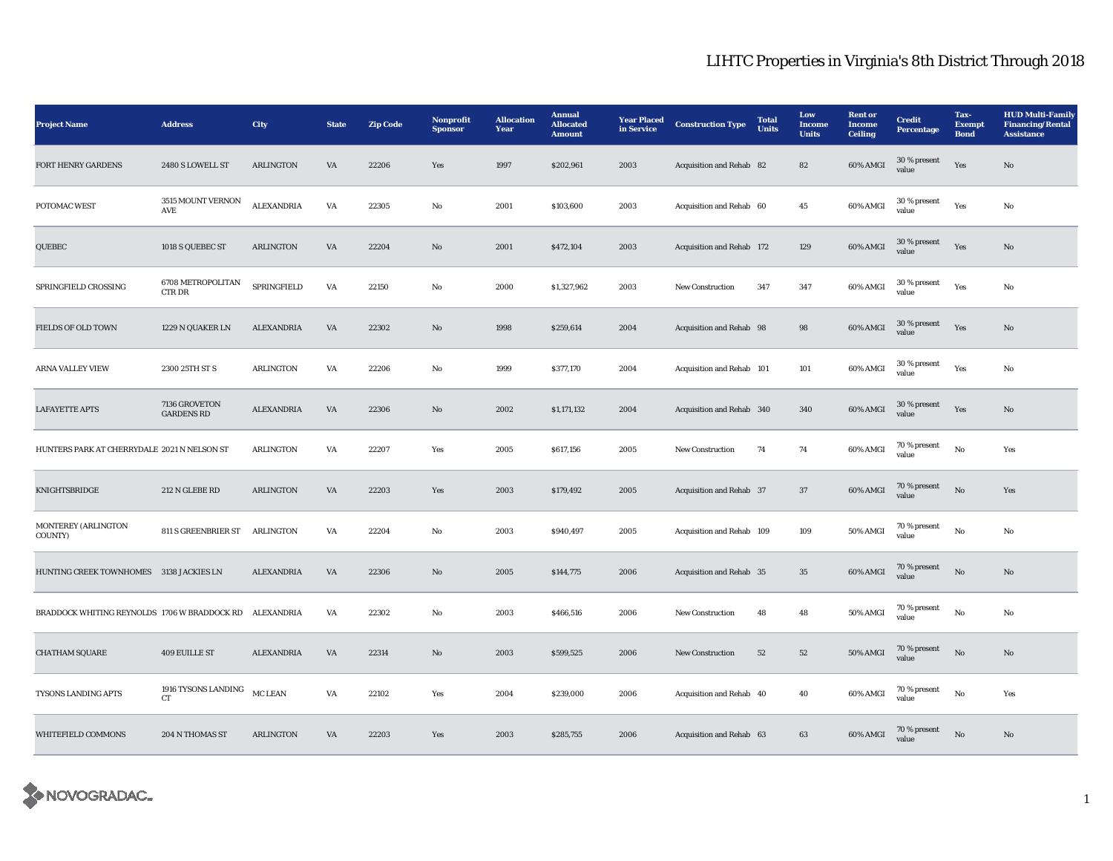| <b>Project Name</b>                          | <b>Address</b>                            | <b>City</b>       | <b>State</b> | <b>Zip Code</b> | Nonprofit<br><b>Sponsor</b> | <b>Allocation</b><br>Year | <b>Annual</b><br><b>Allocated</b><br><b>Amount</b> | <b>Year Placed</b><br>in Service | <b>Construction Type</b>  | <b>Total</b><br><b>Units</b> | Low<br>Income<br><b>Units</b> | <b>Rent</b> or<br><b>Income</b><br><b>Ceiling</b> | <b>Credit</b><br><b>Percentage</b> | Tax-<br><b>Exempt</b><br><b>Bond</b> | <b>HUD Multi-Family</b><br><b>Financing/Rental</b><br><b>Assistance</b> |
|----------------------------------------------|-------------------------------------------|-------------------|--------------|-----------------|-----------------------------|---------------------------|----------------------------------------------------|----------------------------------|---------------------------|------------------------------|-------------------------------|---------------------------------------------------|------------------------------------|--------------------------------------|-------------------------------------------------------------------------|
| FORT HENRY GARDENS                           | 2480 S LOWELL ST                          | <b>ARLINGTON</b>  | VA           | 22206           | Yes                         | 1997                      | \$202,961                                          | 2003                             | Acquisition and Rehab 82  |                              | 82                            | 60% AMGI                                          | 30 % present<br>value              | Yes                                  | $\rm No$                                                                |
| POTOMAC WEST                                 | 3515 MOUNT VERNON<br>AVE                  | <b>ALEXANDRIA</b> | VA           | 22305           | No                          | 2001                      | \$103,600                                          | 2003                             | Acquisition and Rehab 60  |                              | 45                            | 60% AMGI                                          | 30 % present<br>value              | Yes                                  | No                                                                      |
| QUEBEC                                       | 1018 S QUEBEC ST                          | <b>ARLINGTON</b>  | VA           | 22204           | No                          | 2001                      | \$472,104                                          | 2003                             | Acquisition and Rehab 172 |                              | 129                           | 60% AMGI                                          | 30 % present<br>value              | Yes                                  | No                                                                      |
| SPRINGFIELD CROSSING                         | 6708 METROPOLITAN<br>CTR DR               | SPRINGFIELD       | VA           | 22150           | No                          | 2000                      | \$1,327,962                                        | 2003                             | <b>New Construction</b>   | 347                          | 347                           | 60% AMGI                                          | 30 % present<br>value              | Yes                                  | No                                                                      |
| <b>FIELDS OF OLD TOWN</b>                    | 1229 N QUAKER LN                          | ALEXANDRIA        | VA           | 22302           | $\mathbf{N}\mathbf{o}$      | 1998                      | \$259,614                                          | 2004                             | Acquisition and Rehab 98  |                              | 98                            | 60% AMGI                                          | 30 % present<br>value              | Yes                                  | No                                                                      |
| <b>ARNA VALLEY VIEW</b>                      | 2300 25TH ST S                            | <b>ARLINGTON</b>  | VA           | 22206           | No                          | 1999                      | \$377,170                                          | 2004                             | Acquisition and Rehab 101 |                              | 101                           | 60% AMGI                                          | 30 % present<br>value              | Yes                                  | $\mathbf{No}$                                                           |
| <b>LAFAYETTE APTS</b>                        | 7136 GROVETON<br><b>GARDENS RD</b>        | <b>ALEXANDRIA</b> | VA           | 22306           | $\mathbf{N}\mathbf{o}$      | 2002                      | \$1,171,132                                        | 2004                             | Acquisition and Rehab 340 |                              | 340                           | 60% AMGI                                          | 30 % present<br>value              | Yes                                  | $\mathbf{N}\mathbf{o}$                                                  |
| HUNTERS PARK AT CHERRYDALE 2021 N NELSON ST  |                                           | <b>ARLINGTON</b>  | VA           | 22207           | Yes                         | 2005                      | \$617,156                                          | 2005                             | <b>New Construction</b>   | 74                           | 74                            | 60% AMGI                                          | 70 % present<br>value              | No                                   | Yes                                                                     |
| KNIGHTSBRIDGE                                | 212 N GLEBE RD                            | <b>ARLINGTON</b>  | VA           | 22203           | Yes                         | 2003                      | \$179,492                                          | 2005                             | Acquisition and Rehab 37  |                              | $37\,$                        | 60% AMGI                                          | 70 % present<br>value              | No                                   | Yes                                                                     |
| MONTEREY (ARLINGTON<br>COUNTY)               | 811 S GREENBRIER ST ARLINGTON             |                   | VA           | 22204           | No                          | 2003                      | \$940,497                                          | 2005                             | Acquisition and Rehab 109 |                              | 109                           | 50% AMGI                                          | 70 % present<br>value              | $_{\rm No}$                          | No                                                                      |
| HUNTING CREEK TOWNHOMES 3138 JACKIES LN      |                                           | <b>ALEXANDRIA</b> | VA           | 22306           | $\mathbf{N}\mathbf{o}$      | 2005                      | \$144,775                                          | 2006                             | Acquisition and Rehab 35  |                              | 35                            | 60% AMGI                                          | 70 % present<br>value              | No                                   | No                                                                      |
| BRADDOCK WHITING REYNOLDS 1706 W BRADDOCK RD |                                           | ALEXANDRIA        | VA           | 22302           | No                          | 2003                      | \$466,516                                          | 2006                             | <b>New Construction</b>   | 48                           | 48                            | 50% AMGI                                          | 70 % present<br>value              | $_{\rm No}$                          | No                                                                      |
| <b>CHATHAM SQUARE</b>                        | <b>409 EUILLE ST</b>                      | <b>ALEXANDRIA</b> | VA           | 22314           | No                          | 2003                      | \$599,525                                          | 2006                             | <b>New Construction</b>   | 52                           | 52                            | 50% AMGI                                          | 70 % present<br>value              | $\mathbf{N}\mathbf{o}$               | No                                                                      |
| TYSONS LANDING APTS                          | 1916 TYSONS LANDING<br>${\cal C}{\cal T}$ | MC LEAN           | VA           | 22102           | Yes                         | 2004                      | \$239,000                                          | 2006                             | Acquisition and Rehab 40  |                              | 40                            | 60% AMGI                                          | $70$ % present<br>value            | $_{\rm No}$                          | Yes                                                                     |
| WHITEFIELD COMMONS                           | 204 N THOMAS ST                           | <b>ARLINGTON</b>  | VA           | 22203           | Yes                         | 2003                      | \$285,755                                          | 2006                             | Acquisition and Rehab 63  |                              | 63                            | 60% AMGI                                          | 70 % present<br>value              | $_{\rm No}$                          | $\mathbf{N}\mathbf{o}$                                                  |

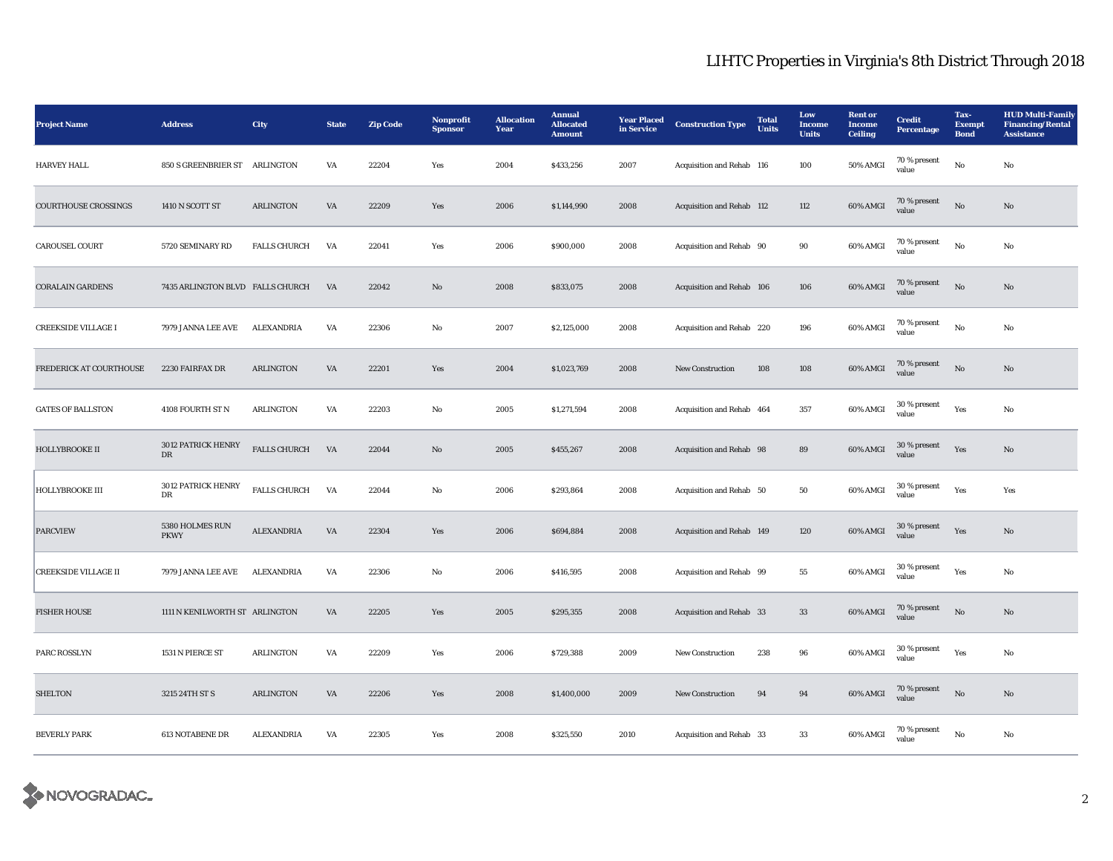| <b>Project Name</b>         | <b>Address</b>                    | <b>City</b>         | <b>State</b>           | <b>Zip Code</b> | Nonprofit<br><b>Sponsor</b> | <b>Allocation</b><br>Year | <b>Annual</b><br><b>Allocated</b><br><b>Amount</b> | <b>Year Placed</b><br>in Service | <b>Construction Type</b>  | <b>Total</b><br><b>Units</b> | Low<br>Income<br><b>Units</b> | <b>Rent</b> or<br><b>Income</b><br><b>Ceiling</b> | <b>Credit</b><br><b>Percentage</b> | Tax-<br><b>Exempt</b><br><b>Bond</b> | <b>HUD Multi-Family</b><br><b>Financing/Rental</b><br><b>Assistance</b> |
|-----------------------------|-----------------------------------|---------------------|------------------------|-----------------|-----------------------------|---------------------------|----------------------------------------------------|----------------------------------|---------------------------|------------------------------|-------------------------------|---------------------------------------------------|------------------------------------|--------------------------------------|-------------------------------------------------------------------------|
| <b>HARVEY HALL</b>          | 850 S GREENBRIER ST ARLINGTON     |                     | VA                     | 22204           | Yes                         | 2004                      | \$433,256                                          | 2007                             | Acquisition and Rehab 116 |                              | 100                           | 50% AMGI                                          | 70 % present<br>value              | $\mathbf{No}$                        | No                                                                      |
| <b>COURTHOUSE CROSSINGS</b> | 1410 N SCOTT ST                   | <b>ARLINGTON</b>    | VA                     | 22209           | Yes                         | 2006                      | \$1,144,990                                        | 2008                             | Acquisition and Rehab 112 |                              | 112                           | 60% AMGI                                          | 70 % present<br>value              | $\rm No$                             | No                                                                      |
| CAROUSEL COURT              | 5720 SEMINARY RD                  | FALLS CHURCH        | VA                     | 22041           | Yes                         | 2006                      | \$900,000                                          | 2008                             | Acquisition and Rehab 90  |                              | 90                            | 60% AMGI                                          | 70 % present<br>value              | $\rm No$                             | No                                                                      |
| <b>CORALAIN GARDENS</b>     | 7435 ARLINGTON BLVD FALLS CHURCH  |                     | VA                     | 22042           | $\rm No$                    | 2008                      | \$833,075                                          | 2008                             | Acquisition and Rehab 106 |                              | 106                           | 60% AMGI                                          | 70 % present<br>value              | $_{\rm No}$                          | No                                                                      |
| <b>CREEKSIDE VILLAGE I</b>  | 7979 JANNA LEE AVE                | ALEXANDRIA          | VA                     | 22306           | No                          | 2007                      | \$2,125,000                                        | 2008                             | Acquisition and Rehab 220 |                              | 196                           | 60% AMGI                                          | 70 % present<br>value              | $\rm No$                             | No                                                                      |
| FREDERICK AT COURTHOUSE     | 2230 FAIRFAX DR                   | <b>ARLINGTON</b>    | VA                     | 22201           | Yes                         | 2004                      | \$1,023,769                                        | 2008                             | <b>New Construction</b>   | 108                          | 108                           | 60% AMGI                                          | 70 % present<br>value              | $\rm No$                             | No                                                                      |
| <b>GATES OF BALLSTON</b>    | 4108 FOURTH ST N                  | <b>ARLINGTON</b>    | VA                     | 22203           | No                          | 2005                      | \$1,271,594                                        | 2008                             | Acquisition and Rehab 464 |                              | 357                           | 60% AMGI                                          | 30 % present<br>value              | Yes                                  | No                                                                      |
| <b>HOLLYBROOKE II</b>       | 3012 PATRICK HENRY<br>$_{\rm DR}$ | <b>FALLS CHURCH</b> | VA                     | 22044           | No                          | 2005                      | \$455,267                                          | 2008                             | Acquisition and Rehab 98  |                              | 89                            | 60% AMGI                                          | 30 % present<br>value              | Yes                                  | No                                                                      |
| <b>HOLLYBROOKE III</b>      | 3012 PATRICK HENRY<br>DR          | <b>FALLS CHURCH</b> | VA                     | 22044           | No                          | 2006                      | \$293,864                                          | 2008                             | Acquisition and Rehab 50  |                              | 50                            | 60% AMGI                                          | 30 % present<br>value              | Yes                                  | Yes                                                                     |
| <b>PARCVIEW</b>             | 5380 HOLMES RUN<br><b>PKWY</b>    | <b>ALEXANDRIA</b>   | $\mathbf{V}\mathbf{A}$ | 22304           | Yes                         | 2006                      | \$694,884                                          | 2008                             | Acquisition and Rehab 149 |                              | 120                           | 60% AMGI                                          | 30 % present<br>value              | Yes                                  | No                                                                      |
| <b>CREEKSIDE VILLAGE II</b> | 7979 JANNA LEE AVE                | ALEXANDRIA          | VA                     | 22306           | $\rm No$                    | 2006                      | \$416,595                                          | 2008                             | Acquisition and Rehab 99  |                              | ${\bf 55}$                    | 60% AMGI                                          | 30 % present<br>value              | Yes                                  | No                                                                      |
| <b>FISHER HOUSE</b>         | 1111 N KENILWORTH ST ARLINGTON    |                     | VA                     | 22205           | Yes                         | 2005                      | \$295,355                                          | 2008                             | Acquisition and Rehab 33  |                              | 33                            | 60% AMGI                                          | 70 % present<br>value              | $\rm No$                             | No                                                                      |
| PARC ROSSLYN                | 1531 N PIERCE ST                  | <b>ARLINGTON</b>    | VA                     | 22209           | Yes                         | 2006                      | \$729,388                                          | 2009                             | <b>New Construction</b>   | 238                          | 96                            | 60% AMGI                                          | $30\,\%$ present<br>value          | Yes                                  | No                                                                      |
| <b>SHELTON</b>              | 3215 24TH ST S                    | ARLINGTON           | VA                     | 22206           | Yes                         | 2008                      | \$1,400,000                                        | 2009                             | New Construction          | 94                           | 94                            | 60% AMGI                                          | 70 % present<br>value              | $\rm No$                             | No                                                                      |
| <b>BEVERLY PARK</b>         | <b>613 NOTABENE DR</b>            | <b>ALEXANDRIA</b>   | VA                     | 22305           | Yes                         | 2008                      | \$325,550                                          | 2010                             | Acquisition and Rehab 33  |                              | 33                            | 60% AMGI                                          | 70 % present<br>value              | No                                   | No                                                                      |

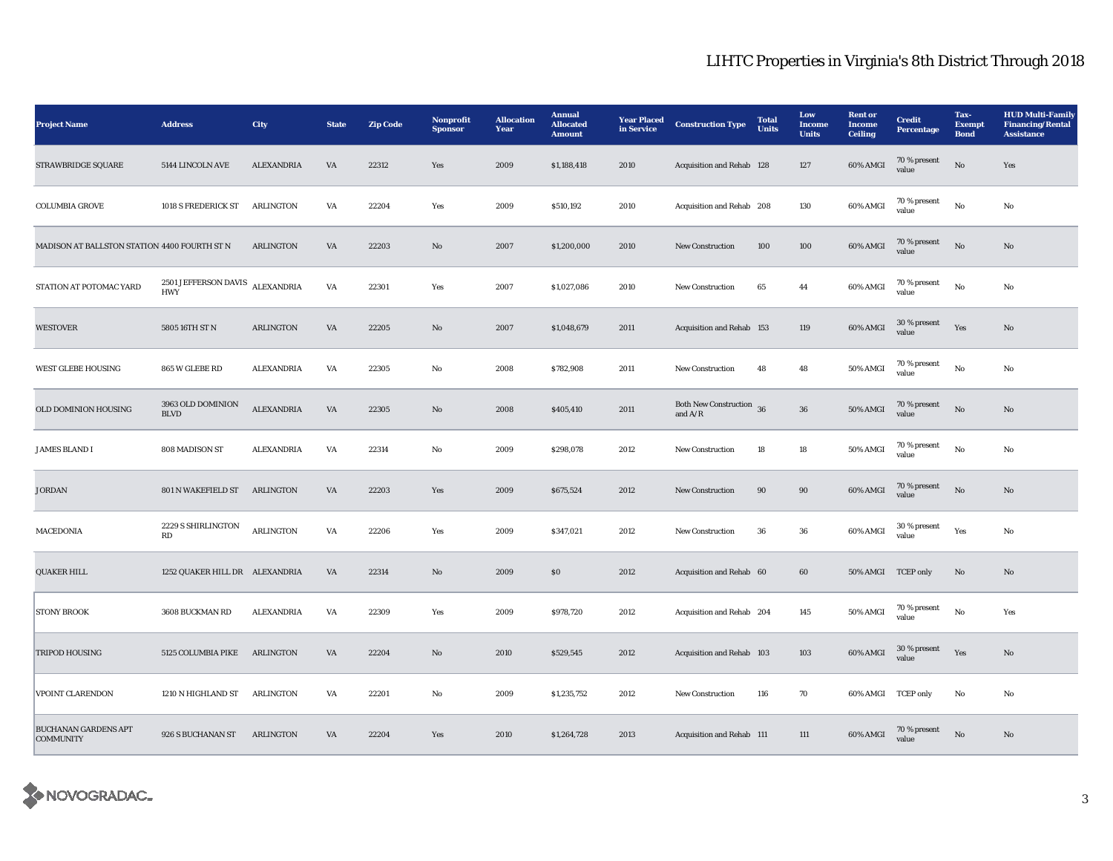| <b>Project Name</b>                             | <b>Address</b>                     | City              | <b>State</b>           | <b>Zip Code</b> | Nonprofit<br><b>Sponsor</b> | <b>Allocation</b><br>Year | <b>Annual</b><br><b>Allocated</b><br><b>Amount</b> | <b>Year Placed</b><br>in Service | <b>Construction Type</b>                  | <b>Total</b><br>Units | Low<br>Income<br><b>Units</b> | <b>Rent</b> or<br><b>Income</b><br><b>Ceiling</b> | <b>Credit</b><br>Percentage    | Tax-<br><b>Exempt</b><br><b>Bond</b> | <b>HUD Multi-Family</b><br><b>Financing/Rental</b><br><b>Assistance</b> |
|-------------------------------------------------|------------------------------------|-------------------|------------------------|-----------------|-----------------------------|---------------------------|----------------------------------------------------|----------------------------------|-------------------------------------------|-----------------------|-------------------------------|---------------------------------------------------|--------------------------------|--------------------------------------|-------------------------------------------------------------------------|
| STRAWBRIDGE SQUARE                              | 5144 LINCOLN AVE                   | <b>ALEXANDRIA</b> | VA                     | 22312           | Yes                         | 2009                      | \$1,188,418                                        | 2010                             | Acquisition and Rehab 128                 |                       | 127                           | 60% AMGI                                          | 70 % present<br>value          | $\rm No$                             | Yes                                                                     |
| <b>COLUMBIA GROVE</b>                           | 1018 S FREDERICK ST                | <b>ARLINGTON</b>  | VA                     | 22204           | Yes                         | 2009                      | \$510,192                                          | 2010                             | Acquisition and Rehab 208                 |                       | 130                           | 60% AMGI                                          | 70 % present<br>value          | $\rm No$                             | No                                                                      |
| MADISON AT BALLSTON STATION 4400 FOURTH ST N    |                                    | <b>ARLINGTON</b>  | VA                     | 22203           | No                          | 2007                      | \$1,200,000                                        | 2010                             | <b>New Construction</b>                   | 100                   | 100                           | 60% AMGI                                          | 70 % present<br>value          | $\rm No$                             | No                                                                      |
| STATION AT POTOMAC YARD                         | 2501 JEFFERSON DAVIS<br><b>HWY</b> | <b>ALEXANDRIA</b> | $\mathbf{V}\mathbf{A}$ | 22301           | Yes                         | 2007                      | \$1,027,086                                        | 2010                             | New Construction                          | 65                    | 44                            | 60% AMGI                                          | 70 % present<br>value          | No                                   | No                                                                      |
| <b>WESTOVER</b>                                 | 5805 16TH ST N                     | <b>ARLINGTON</b>  | VA                     | 22205           | $\mathbf{N}\mathbf{o}$      | 2007                      | \$1,048,679                                        | 2011                             | Acquisition and Rehab 153                 |                       | 119                           | 60% AMGI                                          | 30 % present<br>value          | Yes                                  | No                                                                      |
| WEST GLEBE HOUSING                              | 865 W GLEBE RD                     | <b>ALEXANDRIA</b> | VA                     | 22305           | No                          | 2008                      | \$782,908                                          | 2011                             | <b>New Construction</b>                   | 48                    | 48                            | 50% AMGI                                          | 70 % present<br>value          | $\rm No$                             | No                                                                      |
| OLD DOMINION HOUSING                            | 3963 OLD DOMINION<br><b>BLVD</b>   | <b>ALEXANDRIA</b> | $\mathbf{V}\mathbf{A}$ | 22305           | $\mathbf{N}\mathbf{o}$      | 2008                      | \$405,410                                          | 2011                             | <b>Both New Construction</b><br>and $A/R$ | 36                    | ${\bf 36}$                    | 50% AMGI                                          | 70 % present<br>value          | No                                   | No                                                                      |
| <b>JAMES BLAND I</b>                            | 808 MADISON ST                     | <b>ALEXANDRIA</b> | VA                     | 22314           | No                          | 2009                      | \$298,078                                          | 2012                             | New Construction                          | ${\bf 18}$            | 18                            | 50% AMGI                                          | 70 % present<br>$_{\rm value}$ | $\rm\thinspace No$                   | No                                                                      |
| <b>JORDAN</b>                                   | 801 N WAKEFIELD ST                 | ARLINGTON         | VA                     | 22203           | Yes                         | 2009                      | \$675,524                                          | 2012                             | <b>New Construction</b>                   | 90                    | 90                            | 60% AMGI                                          | 70 % present<br>value          | No                                   | No                                                                      |
| MACEDONIA                                       | 2229 S SHIRLINGTON<br>RD           | <b>ARLINGTON</b>  | VA                     | 22206           | Yes                         | 2009                      | \$347,021                                          | 2012                             | New Construction                          | 36                    | 36                            | 60% AMGI                                          | 30 % present<br>value          | Yes                                  | No                                                                      |
| <b>QUAKER HILL</b>                              | 1252 QUAKER HILL DR ALEXANDRIA     |                   | VA                     | 22314           | No                          | 2009                      | \$0\$                                              | 2012                             | Acquisition and Rehab 60                  |                       | 60                            | 50% AMGI                                          | <b>TCEP</b> only               | No                                   | No                                                                      |
| <b>STONY BROOK</b>                              | 3608 BUCKMAN RD                    | <b>ALEXANDRIA</b> | VA                     | 22309           | Yes                         | 2009                      | \$978,720                                          | 2012                             | Acquisition and Rehab 204                 |                       | 145                           | 50% AMGI                                          | 70 % present<br>value          | $\rm No$                             | Yes                                                                     |
| <b>TRIPOD HOUSING</b>                           | 5125 COLUMBIA PIKE ARLINGTON       |                   | $\mathbf{V}\mathbf{A}$ | 22204           | $\mathbf{N}\mathbf{o}$      | 2010                      | \$529,545                                          | 2012                             | Acquisition and Rehab 103                 |                       | 103                           | 60% AMGI                                          | $30\,\%$ present<br>value      | Yes                                  | $\mathbf{N}\mathbf{o}$                                                  |
| VPOINT CLARENDON                                | 1210 N HIGHLAND ST                 | <b>ARLINGTON</b>  | VA                     | 22201           | No                          | 2009                      | \$1,235,752                                        | 2012                             | <b>New Construction</b>                   | 116                   | 70                            | 60% AMGI TCEP only                                |                                | No                                   | No                                                                      |
| <b>BUCHANAN GARDENS APT</b><br><b>COMMUNITY</b> | 926 S BUCHANAN ST                  | <b>ARLINGTON</b>  | VA                     | 22204           | Yes                         | 2010                      | \$1,264,728                                        | 2013                             | Acquisition and Rehab 111                 |                       | 111                           | 60% AMGI                                          | 70 % present<br>value          | No                                   | No                                                                      |

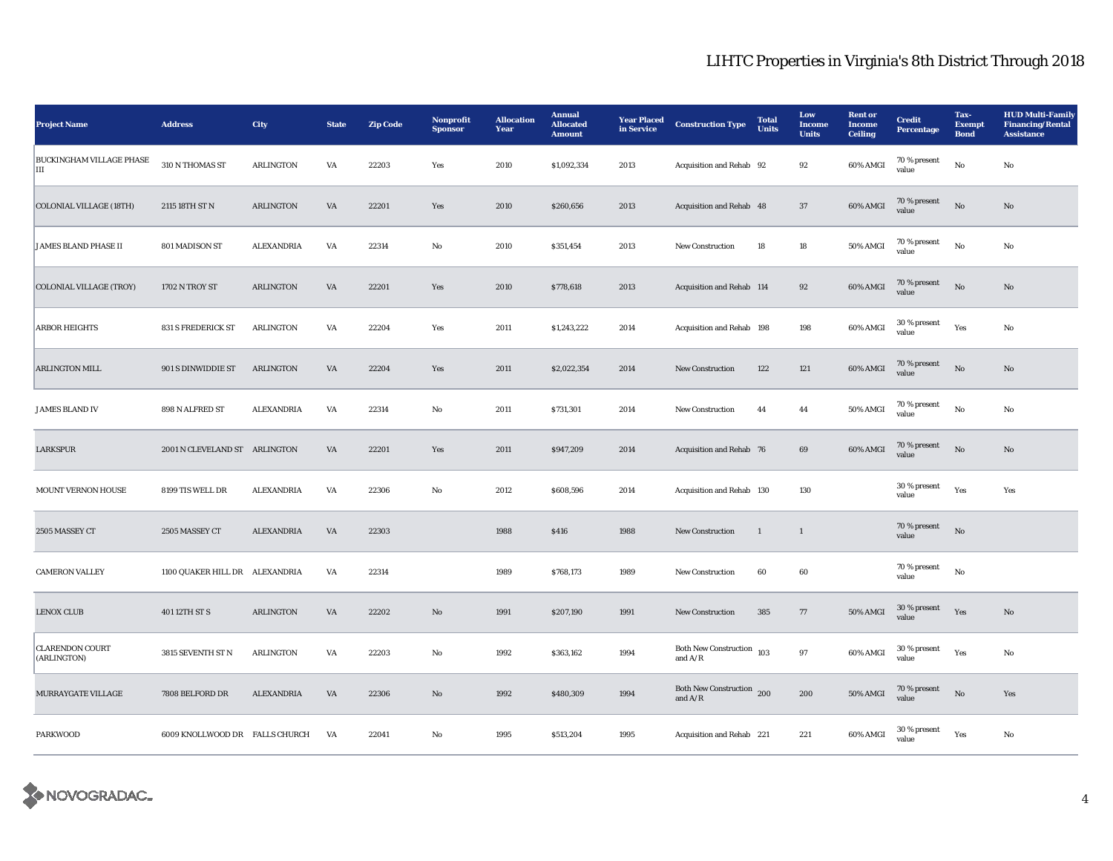| <b>Project Name</b>                   | <b>Address</b>                 | <b>City</b>       | <b>State</b>           | <b>Zip Code</b> | Nonprofit<br><b>Sponsor</b> | <b>Allocation</b><br>Year | <b>Annual</b><br><b>Allocated</b><br><b>Amount</b> | <b>Year Placed</b><br>in Service | <b>Construction Type</b>                                 | <b>Total</b><br><b>Units</b> | Low<br><b>Income</b><br><b>Units</b> | <b>Rent</b> or<br><b>Income</b><br><b>Ceiling</b> | <b>Credit</b><br><b>Percentage</b> | Tax-<br><b>Exempt</b><br><b>Bond</b> | <b>HUD Multi-Family</b><br><b>Financing/Rental</b><br><b>Assistance</b> |
|---------------------------------------|--------------------------------|-------------------|------------------------|-----------------|-----------------------------|---------------------------|----------------------------------------------------|----------------------------------|----------------------------------------------------------|------------------------------|--------------------------------------|---------------------------------------------------|------------------------------------|--------------------------------------|-------------------------------------------------------------------------|
| BUCKINGHAM VILLAGE PHASE<br>Ш         | 310 N THOMAS ST                | <b>ARLINGTON</b>  | VA                     | 22203           | Yes                         | 2010                      | \$1,092,334                                        | 2013                             | Acquisition and Rehab 92                                 |                              | 92                                   | 60% AMGI                                          | 70 % present<br>value              | $\rm No$                             | No                                                                      |
| <b>COLONIAL VILLAGE (18TH)</b>        | 2115 18TH ST N                 | <b>ARLINGTON</b>  | VA                     | 22201           | Yes                         | 2010                      | \$260,656                                          | 2013                             | Acquisition and Rehab 48                                 |                              | 37                                   | 60% AMGI                                          | 70 % present<br>value              | $\mathbf{N}\mathbf{o}$               | No                                                                      |
| <b>JAMES BLAND PHASE II</b>           | 801 MADISON ST                 | <b>ALEXANDRIA</b> | VA                     | 22314           | No                          | 2010                      | \$351,454                                          | 2013                             | <b>New Construction</b>                                  | 18                           | ${\bf 18}$                           | 50% AMGI                                          | 70 % present<br>value              | $\rm No$                             | No                                                                      |
| <b>COLONIAL VILLAGE (TROY)</b>        | 1702 N TROY ST                 | <b>ARLINGTON</b>  | $\mathbf{V}\mathbf{A}$ | 22201           | Yes                         | 2010                      | \$778,618                                          | 2013                             | Acquisition and Rehab 114                                |                              | 92                                   | 60% AMGI                                          | 70 % present<br>value              | $\rm No$                             | No                                                                      |
| <b>ARBOR HEIGHTS</b>                  | <b>831 S FREDERICK ST</b>      | <b>ARLINGTON</b>  | VA                     | 22204           | Yes                         | 2011                      | \$1,243,222                                        | 2014                             | Acquisition and Rehab 198                                |                              | 198                                  | 60% AMGI                                          | 30 % present<br>value              | Yes                                  | No                                                                      |
| ARLINGTON MILL                        | 901 S DINWIDDIE ST             | <b>ARLINGTON</b>  | VA                     | 22204           | Yes                         | 2011                      | \$2,022,354                                        | 2014                             | New Construction                                         | 122                          | $121\,$                              | 60% AMGI                                          | 70 % present<br>value              | $\rm No$                             | $\mathbf{No}$                                                           |
| <b>JAMES BLAND IV</b>                 | 898 N ALFRED ST                | <b>ALEXANDRIA</b> | VA                     | 22314           | No                          | 2011                      | \$731,301                                          | 2014                             | New Construction                                         | 44                           | 44                                   | 50% AMGI                                          | 70 % present<br>value              | No                                   | No                                                                      |
| LARKSPUR                              | 2001 N CLEVELAND ST ARLINGTON  |                   | VA                     | 22201           | Yes                         | 2011                      | \$947,209                                          | 2014                             | Acquisition and Rehab 76                                 |                              | 69                                   | 60% AMGI                                          | 70 % present<br>value              | $\mathbf{No}$                        | No                                                                      |
| MOUNT VERNON HOUSE                    | 8199 TIS WELL DR               | <b>ALEXANDRIA</b> | VA                     | 22306           | $_{\rm No}$                 | 2012                      | \$608,596                                          | 2014                             | Acquisition and Rehab 130                                |                              | 130                                  |                                                   | 30 % present<br>value              | Yes                                  | Yes                                                                     |
| 2505 MASSEY CT                        | 2505 MASSEY CT                 | <b>ALEXANDRIA</b> | $\mathbf{V}\mathbf{A}$ | 22303           |                             | 1988                      | \$416                                              | 1988                             | <b>New Construction</b>                                  | $\mathbf{1}$                 | $\mathbf{1}$                         |                                                   | 70 % present<br>value              | $\rm No$                             |                                                                         |
| <b>CAMERON VALLEY</b>                 | 1100 QUAKER HILL DR ALEXANDRIA |                   | VA                     | 22314           |                             | 1989                      | \$768,173                                          | 1989                             | <b>New Construction</b>                                  | 60                           | 60                                   |                                                   | 70 % present<br>value              | $_{\rm No}$                          |                                                                         |
| <b>LENOX CLUB</b>                     | 401 12TH ST S                  | <b>ARLINGTON</b>  | VA                     | 22202           | $\mathbf{N}\mathbf{o}$      | 1991                      | \$207,190                                          | 1991                             | <b>New Construction</b>                                  | 385                          | 77                                   | 50% AMGI                                          | 30 % present<br>value              | Yes                                  | No                                                                      |
| <b>CLARENDON COURT</b><br>(ARLINGTON) | 3815 SEVENTH ST N              | <b>ARLINGTON</b>  | VA                     | 22203           | No                          | 1992                      | \$363,162                                          | 1994                             | Both New Construction $\,$ 103 $\,$<br>and $\rm A/R$     |                              | 97                                   | 60% AMGI                                          | 30 % present<br>value              | Yes                                  | No                                                                      |
| MURRAYGATE VILLAGE                    | 7808 BELFORD DR                | <b>ALEXANDRIA</b> | VA                     | 22306           | No                          | 1992                      | \$480,309                                          | 1994                             | Both New Construction 200<br>and $\mathrm{A}/\mathrm{R}$ |                              | 200                                  | 50% AMGI                                          | 70 % present<br>value              | $\mathbf{No}$                        | Yes                                                                     |
| <b>PARKWOOD</b>                       | 6009 KNOLLWOOD DR FALLS CHURCH |                   | VA                     | 22041           | No                          | 1995                      | \$513,204                                          | 1995                             | Acquisition and Rehab 221                                |                              | 221                                  | 60% AMGI                                          | 30 % present<br>value              | Yes                                  | No                                                                      |

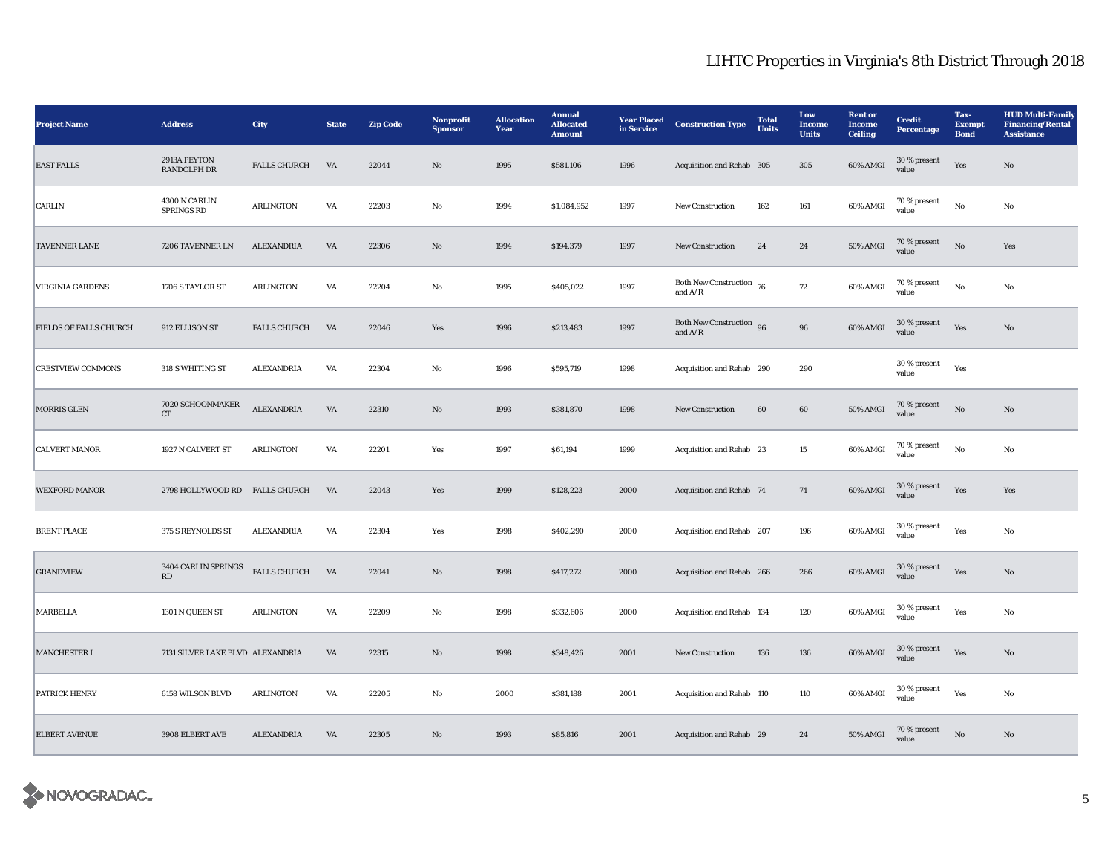| <b>Project Name</b>           | <b>Address</b>                                | City                | <b>State</b>           | <b>Zip Code</b> | Nonprofit<br><b>Sponsor</b> | <b>Allocation</b><br>Year | <b>Annual</b><br><b>Allocated</b><br><b>Amount</b> | <b>Year Placed</b><br>in Service | <b>Construction Type</b>                | <b>Total</b><br><b>Units</b> | Low<br><b>Income</b><br><b>Units</b> | <b>Rent or</b><br>Income<br><b>Ceiling</b> | <b>Credit</b><br><b>Percentage</b> | Tax-<br><b>Exempt</b><br><b>Bond</b> | <b>HUD Multi-Family</b><br><b>Financing/Rental</b><br><b>Assistance</b> |
|-------------------------------|-----------------------------------------------|---------------------|------------------------|-----------------|-----------------------------|---------------------------|----------------------------------------------------|----------------------------------|-----------------------------------------|------------------------------|--------------------------------------|--------------------------------------------|------------------------------------|--------------------------------------|-------------------------------------------------------------------------|
| <b>EAST FALLS</b>             | 2913A PEYTON<br>RANDOLPH DR                   | <b>FALLS CHURCH</b> | VA                     | 22044           | No                          | 1995                      | \$581,106                                          | 1996                             | Acquisition and Rehab 305               |                              | 305                                  | 60% AMGI                                   | 30 % present<br>value              | Yes                                  | $\rm No$                                                                |
| <b>CARLIN</b>                 | 4300 N CARLIN<br><b>SPRINGS RD</b>            | <b>ARLINGTON</b>    | VA                     | 22203           | No                          | 1994                      | \$1,084,952                                        | 1997                             | <b>New Construction</b>                 | 162                          | 161                                  | 60% AMGI                                   | 70 % present<br>value              | $_{\rm No}$                          | No                                                                      |
| <b>TAVENNER LANE</b>          | 7206 TAVENNER LN                              | <b>ALEXANDRIA</b>   | VA                     | 22306           | No                          | 1994                      | \$194,379                                          | 1997                             | <b>New Construction</b>                 | 24                           | 24                                   | <b>50% AMGI</b>                            | 70 % present<br>value              | $\rm \bf No$                         | Yes                                                                     |
| <b>VIRGINIA GARDENS</b>       | 1706 S TAYLOR ST                              | <b>ARLINGTON</b>    | $\mathbf{V}\mathbf{A}$ | 22204           | No                          | 1995                      | \$405,022                                          | 1997                             | Both New Construction $76$<br>and $A/R$ |                              | ${\bf 72}$                           | 60% AMGI                                   | 70 % present<br>value              | $_{\rm No}$                          | No                                                                      |
| <b>FIELDS OF FALLS CHURCH</b> | 912 ELLISON ST                                | <b>FALLS CHURCH</b> | VA                     | 22046           | Yes                         | 1996                      | \$213,483                                          | 1997                             | Both New Construction 96<br>and $A/R$   |                              | $\bf{96}$                            | 60% AMGI                                   | 30 % present<br>value              | Yes                                  | $\rm No$                                                                |
| <b>CRESTVIEW COMMONS</b>      | 318 S WHITING ST                              | <b>ALEXANDRIA</b>   | VA                     | 22304           | $\mathbf{N}\mathbf{o}$      | 1996                      | \$595,719                                          | 1998                             | Acquisition and Rehab 290               |                              | 290                                  |                                            | 30 % present<br>value              | Yes                                  |                                                                         |
| <b>MORRIS GLEN</b>            | 7020 SCHOONMAKER<br>${\cal C}{\cal T}$        | <b>ALEXANDRIA</b>   | VA                     | 22310           | No                          | 1993                      | \$381,870                                          | 1998                             | New Construction                        | $60\,$                       | 60                                   | <b>50% AMGI</b>                            | 70 % present<br>value              | $_{\rm No}$                          | $\mathbf{No}$                                                           |
| <b>CALVERT MANOR</b>          | 1927 N CALVERT ST                             | <b>ARLINGTON</b>    | VA                     | 22201           | Yes                         | 1997                      | \$61,194                                           | 1999                             | Acquisition and Rehab 23                |                              | 15                                   | 60% AMGI                                   | 70 % present<br>value              | $\rm No$                             | No                                                                      |
| <b>WEXFORD MANOR</b>          | 2798 HOLLYWOOD RD FALLS CHURCH                |                     | VA                     | 22043           | Yes                         | 1999                      | \$128,223                                          | 2000                             | Acquisition and Rehab 74                |                              | 74                                   | 60% AMGI                                   | 30 % present<br>value              | Yes                                  | Yes                                                                     |
| <b>BRENT PLACE</b>            | 375 S REYNOLDS ST                             | ALEXANDRIA          | VA                     | 22304           | Yes                         | 1998                      | \$402,290                                          | 2000                             | Acquisition and Rehab 207               |                              | 196                                  | 60% AMGI                                   | $30$ % present<br>value            | Yes                                  | $_{\rm No}$                                                             |
| <b>GRANDVIEW</b>              | 3404 CARLIN SPRINGS<br>$\mathbf{R}\mathbf{D}$ | <b>FALLS CHURCH</b> | $\mathbf{V}\mathbf{A}$ | 22041           | $\rm No$                    | 1998                      | \$417,272                                          | 2000                             | Acquisition and Rehab 266               |                              | 266                                  | 60% AMGI                                   | 30 % present<br>value              | Yes                                  | $\rm No$                                                                |
| <b>MARBELLA</b>               | 1301 N QUEEN ST                               | <b>ARLINGTON</b>    | VA                     | 22209           | No                          | 1998                      | \$332,606                                          | 2000                             | Acquisition and Rehab 134               |                              | 120                                  | 60% AMGI                                   | 30 % present<br>value              | Yes                                  | No                                                                      |
| <b>MANCHESTER I</b>           | 7131 SILVER LAKE BLVD ALEXANDRIA              |                     | VA                     | 22315           | No                          | 1998                      | \$348,426                                          | 2001                             | <b>New Construction</b>                 | 136                          | 136                                  | 60% AMGI                                   | 30 % present<br>value              | Yes                                  | No                                                                      |
| <b>PATRICK HENRY</b>          | 6158 WILSON BLVD                              | <b>ARLINGTON</b>    | VA                     | 22205           | No                          | 2000                      | \$381,188                                          | 2001                             | Acquisition and Rehab 110               |                              | 110                                  | 60% AMGI                                   | 30 % present<br>value              | Yes                                  | No                                                                      |
| <b>ELBERT AVENUE</b>          | 3908 ELBERT AVE                               | ALEXANDRIA          | VA                     | 22305           | No                          | 1993                      | \$85,816                                           | 2001                             | Acquisition and Rehab 29                |                              | 24                                   | <b>50% AMGI</b>                            | 70 % present<br>value              | No                                   | No                                                                      |

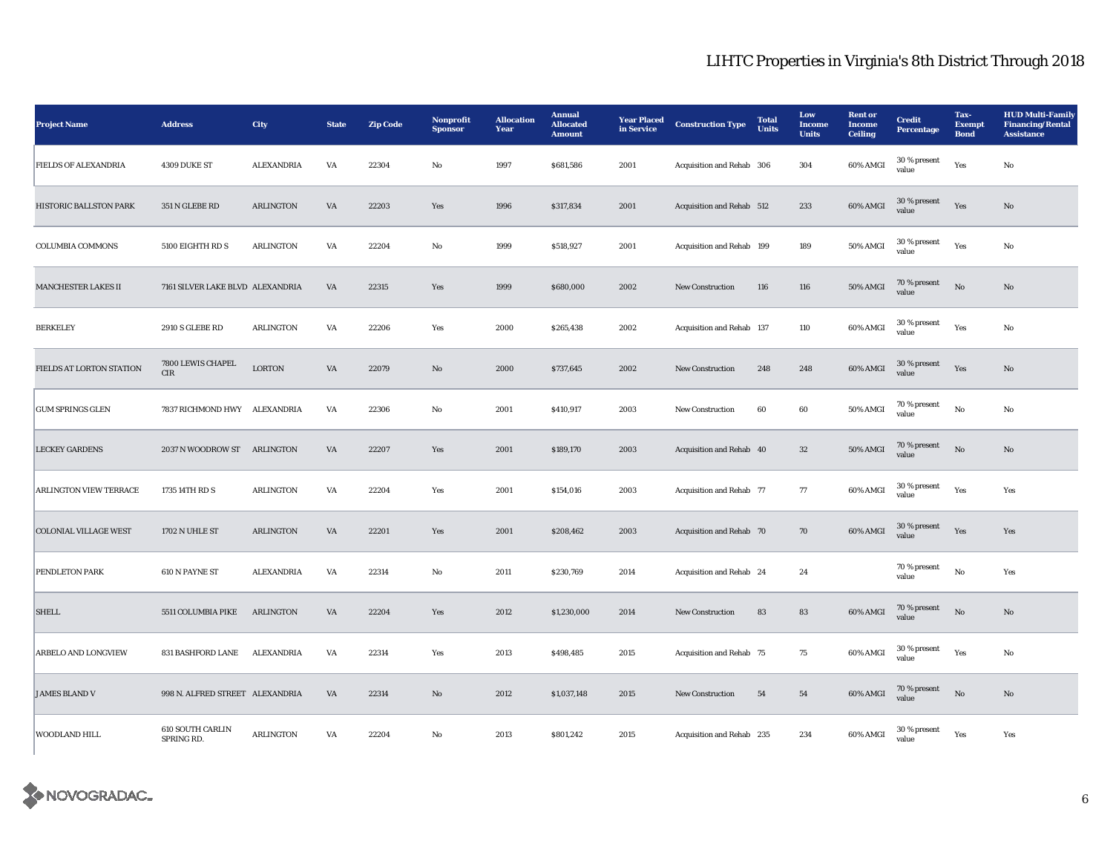| <b>Project Name</b>           | <b>Address</b>                        | City              | <b>State</b> | <b>Zip Code</b> | Nonprofit<br><b>Sponsor</b> | <b>Allocation</b><br>Year | <b>Annual</b><br><b>Allocated</b><br><b>Amount</b> | <b>Year Placed</b><br>in Service | <b>Construction Type</b>  | <b>Total</b><br><b>Units</b> | Low<br>Income<br><b>Units</b> | <b>Rent or</b><br><b>Income</b><br><b>Ceiling</b> | <b>Credit</b><br>Percentage | Tax-<br><b>Exempt</b><br><b>Bond</b> | <b>HUD Multi-Family</b><br><b>Financing/Rental</b><br><b>Assistance</b> |
|-------------------------------|---------------------------------------|-------------------|--------------|-----------------|-----------------------------|---------------------------|----------------------------------------------------|----------------------------------|---------------------------|------------------------------|-------------------------------|---------------------------------------------------|-----------------------------|--------------------------------------|-------------------------------------------------------------------------|
| FIELDS OF ALEXANDRIA          | 4309 DUKE ST                          | <b>ALEXANDRIA</b> | VA           | 22304           | No                          | 1997                      | \$681,586                                          | 2001                             | Acquisition and Rehab 306 |                              | 304                           | 60% AMGI                                          | 30 % present<br>value       | Yes                                  | $\mathbf{No}$                                                           |
| HISTORIC BALLSTON PARK        | 351 N GLEBE RD                        | ARLINGTON         | VA           | 22203           | Yes                         | 1996                      | \$317,834                                          | 2001                             | Acquisition and Rehab 512 |                              | 233                           | 60% AMGI                                          | 30 % present<br>value       | Yes                                  | $\rm No$                                                                |
| <b>COLUMBIA COMMONS</b>       | 5100 EIGHTH RD S                      | <b>ARLINGTON</b>  | VA           | 22204           | $\mathbf{No}$               | 1999                      | \$518,927                                          | 2001                             | Acquisition and Rehab 199 |                              | 189                           | 50% AMGI                                          | 30 % present<br>value       | Yes                                  | $\mathbf{No}$                                                           |
| MANCHESTER LAKES II           | 7161 SILVER LAKE BLVD ALEXANDRIA      |                   | VA           | 22315           | Yes                         | 1999                      | \$680,000                                          | 2002                             | <b>New Construction</b>   | 116                          | 116                           | 50% AMGI                                          | 70 % present<br>value       | No                                   | No                                                                      |
| <b>BERKELEY</b>               | 2910 S GLEBE RD                       | <b>ARLINGTON</b>  | VA           | 22206           | Yes                         | 2000                      | \$265,438                                          | 2002                             | Acquisition and Rehab 137 |                              | 110                           | 60% AMGI                                          | 30 % present<br>value       | Yes                                  | No                                                                      |
| FIELDS AT LORTON STATION      | 7800 LEWIS CHAPEL<br>CIR              | <b>LORTON</b>     | VA           | 22079           | No                          | 2000                      | \$737,645                                          | 2002                             | <b>New Construction</b>   | 248                          | 248                           | 60% AMGI                                          | 30 % present<br>value       | Yes                                  | No                                                                      |
| <b>GUM SPRINGS GLEN</b>       | 7837 RICHMOND HWY ALEXANDRIA          |                   | VA           | 22306           | No                          | 2001                      | \$410,917                                          | 2003                             | New Construction          | 60                           | 60                            | 50% AMGI                                          | 70 % present<br>value       | $\mathbf{N}\mathbf{o}$               | No                                                                      |
| <b>LECKEY GARDENS</b>         | 2037 N WOODROW ST ARLINGTON           |                   | VA           | 22207           | Yes                         | 2001                      | \$189,170                                          | 2003                             | Acquisition and Rehab 40  |                              | 32                            | 50% AMGI                                          | 70 % present<br>value       | $\rm No$                             | $\rm No$                                                                |
| <b>ARLINGTON VIEW TERRACE</b> | 1735 14TH RD S                        | <b>ARLINGTON</b>  | VA           | 22204           | Yes                         | 2001                      | \$154,016                                          | 2003                             | Acquisition and Rehab 77  |                              | 77                            | 60% AMGI                                          | 30 % present<br>value       | Yes                                  | Yes                                                                     |
| <b>COLONIAL VILLAGE WEST</b>  | 1702 N UHLE ST                        | <b>ARLINGTON</b>  | VA           | 22201           | Yes                         | 2001                      | \$208,462                                          | 2003                             | Acquisition and Rehab 70  |                              | 70                            | 60% AMGI                                          | 30 % present<br>value       | Yes                                  | Yes                                                                     |
| PENDLETON PARK                | 610 N PAYNE ST                        | <b>ALEXANDRIA</b> | VA           | 22314           | No                          | 2011                      | \$230,769                                          | 2014                             | Acquisition and Rehab 24  |                              | 24                            |                                                   | 70 % present<br>value       | $_{\rm No}$                          | Yes                                                                     |
| <b>SHELL</b>                  | 5511 COLUMBIA PIKE                    | <b>ARLINGTON</b>  | VA           | 22204           | Yes                         | 2012                      | \$1,230,000                                        | 2014                             | New Construction          | 83                           | 83                            | 60% AMGI                                          | $70\,\%$ present<br>value   | No                                   | No                                                                      |
| ARBELO AND LONGVIEW           | 831 BASHFORD LANE                     | ALEXANDRIA        | VA           | 22314           | Yes                         | 2013                      | \$498,485                                          | 2015                             | Acquisition and Rehab 75  |                              | 75                            | 60% AMGI                                          | 30 % present<br>value       | Yes                                  | $\mathbf{No}$                                                           |
| <b>JAMES BLAND V</b>          | 998 N. ALFRED STREET ALEXANDRIA       |                   | VA           | 22314           | $\mathbf{N}\mathbf{o}$      | 2012                      | \$1,037,148                                        | 2015                             | New Construction          | 54                           | 54                            | 60% AMGI                                          | 70 % present<br>value       | $_{\rm No}$                          | $\rm No$                                                                |
| WOODLAND HILL                 | <b>610 SOUTH CARLIN</b><br>SPRING RD. | <b>ARLINGTON</b>  | VA           | 22204           | No                          | 2013                      | \$801,242                                          | 2015                             | Acquisition and Rehab 235 |                              | 234                           | 60% AMGI                                          | $30\,\%$ present<br>value   | Yes                                  | Yes                                                                     |